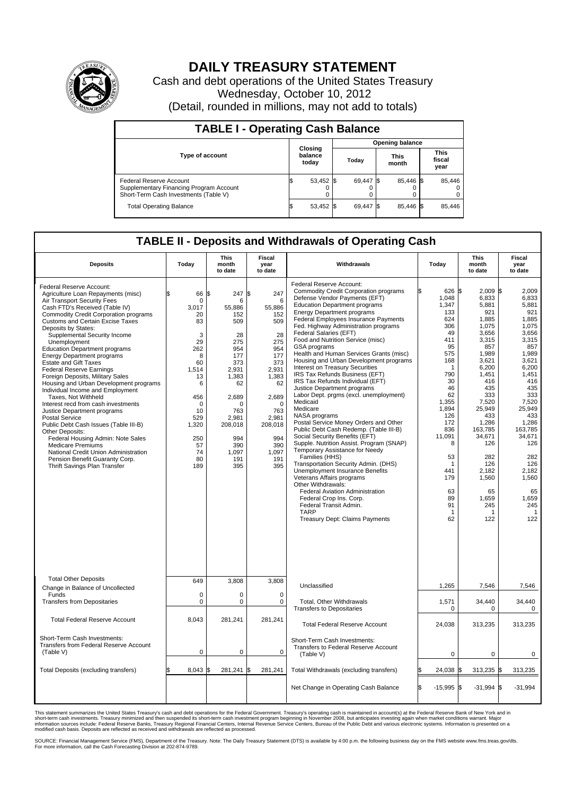

## **DAILY TREASURY STATEMENT**

Cash and debt operations of the United States Treasury Wednesday, October 10, 2012 (Detail, rounded in millions, may not add to totals)

| <b>TABLE I - Operating Cash Balance</b>                                                                     |                             |                        |               |                               |  |  |  |  |  |  |  |
|-------------------------------------------------------------------------------------------------------------|-----------------------------|------------------------|---------------|-------------------------------|--|--|--|--|--|--|--|
|                                                                                                             |                             | <b>Opening balance</b> |               |                               |  |  |  |  |  |  |  |
| <b>Type of account</b>                                                                                      | Closing<br>balance<br>today | Todav                  | This<br>month | <b>This</b><br>fiscal<br>year |  |  |  |  |  |  |  |
| Federal Reserve Account<br>Supplementary Financing Program Account<br>Short-Term Cash Investments (Table V) | 53,452                      | 69,447 \$              | 85.446 \$     | 85,446<br>$^{(1)}$<br>0       |  |  |  |  |  |  |  |
| <b>Total Operating Balance</b>                                                                              | 53,452                      | 69.447 \$              | 85.446 \$     | 85,446                        |  |  |  |  |  |  |  |

## **TABLE II - Deposits and Withdrawals of Operating Cash**

| <b>Deposits</b>                                                                                                                                                                                                                                                                                                                                                                                                                                                                                                                                                                                                                                                                                                                                                                                                                                                                                                    | Todav                                                                                                                                                            | <b>This</b><br>month<br>to date                                                                                                                                                          | Fiscal<br>year<br>to date                                                                                                                                                                 | Withdrawals                                                                                                                                                                                                                                                                                                                                                                                                                                                                                                                                                                                                                                                                                                                                                                                                                                                                                                                                                                                                                                                                                                                                                              | Todav                                                                                                                                                                                                                        | This<br>month<br>to date                                                                                                                                                                                                                                                          | Fiscal<br>year<br>to date                                                                                                                                                                                                                                                      |
|--------------------------------------------------------------------------------------------------------------------------------------------------------------------------------------------------------------------------------------------------------------------------------------------------------------------------------------------------------------------------------------------------------------------------------------------------------------------------------------------------------------------------------------------------------------------------------------------------------------------------------------------------------------------------------------------------------------------------------------------------------------------------------------------------------------------------------------------------------------------------------------------------------------------|------------------------------------------------------------------------------------------------------------------------------------------------------------------|------------------------------------------------------------------------------------------------------------------------------------------------------------------------------------------|-------------------------------------------------------------------------------------------------------------------------------------------------------------------------------------------|--------------------------------------------------------------------------------------------------------------------------------------------------------------------------------------------------------------------------------------------------------------------------------------------------------------------------------------------------------------------------------------------------------------------------------------------------------------------------------------------------------------------------------------------------------------------------------------------------------------------------------------------------------------------------------------------------------------------------------------------------------------------------------------------------------------------------------------------------------------------------------------------------------------------------------------------------------------------------------------------------------------------------------------------------------------------------------------------------------------------------------------------------------------------------|------------------------------------------------------------------------------------------------------------------------------------------------------------------------------------------------------------------------------|-----------------------------------------------------------------------------------------------------------------------------------------------------------------------------------------------------------------------------------------------------------------------------------|--------------------------------------------------------------------------------------------------------------------------------------------------------------------------------------------------------------------------------------------------------------------------------|
| Federal Reserve Account:<br>Agriculture Loan Repayments (misc)<br>Air Transport Security Fees<br>Cash FTD's Received (Table IV)<br>Commodity Credit Corporation programs<br><b>Customs and Certain Excise Taxes</b><br>Deposits by States:<br>Supplemental Security Income<br>Unemployment<br><b>Education Department programs</b><br><b>Energy Department programs</b><br><b>Estate and Gift Taxes</b><br><b>Federal Reserve Earnings</b><br>Foreign Deposits, Military Sales<br>Housing and Urban Development programs<br>Individual Income and Employment<br>Taxes, Not Withheld<br>Interest recd from cash investments<br>Justice Department programs<br>Postal Service<br>Public Debt Cash Issues (Table III-B)<br>Other Deposits:<br>Federal Housing Admin: Note Sales<br><b>Medicare Premiums</b><br>National Credit Union Administration<br>Pension Benefit Guaranty Corp.<br>Thrift Savings Plan Transfer | 66<br>l\$<br>0<br>3.017<br>20<br>83<br>3<br>29<br>262<br>8<br>60<br>1,514<br>13<br>6<br>456<br>$\mathbf 0$<br>10<br>529<br>1,320<br>250<br>57<br>74<br>80<br>189 | \$<br>247<br>6<br>55,886<br>152<br>509<br>28<br>275<br>954<br>177<br>373<br>2,931<br>1,383<br>62<br>2,689<br>$\mathbf 0$<br>763<br>2.981<br>208,018<br>994<br>390<br>1,097<br>191<br>395 | l\$<br>247<br>6<br>55,886<br>152<br>509<br>28<br>275<br>954<br>177<br>373<br>2,931<br>1,383<br>62<br>2,689<br>$\mathbf 0$<br>763<br>2.981<br>208,018<br>994<br>390<br>1,097<br>191<br>395 | Federal Reserve Account:<br><b>Commodity Credit Corporation programs</b><br>Defense Vendor Payments (EFT)<br><b>Education Department programs</b><br><b>Energy Department programs</b><br>Federal Employees Insurance Payments<br>Fed. Highway Administration programs<br>Federal Salaries (EFT)<br>Food and Nutrition Service (misc)<br>GSA programs<br>Health and Human Services Grants (misc)<br>Housing and Urban Development programs<br>Interest on Treasury Securities<br>IRS Tax Refunds Business (EFT)<br>IRS Tax Refunds Individual (EFT)<br>Justice Department programs<br>Labor Dept. prgms (excl. unemployment)<br>Medicaid<br>Medicare<br>NASA programs<br>Postal Service Money Orders and Other<br>Public Debt Cash Redemp. (Table III-B)<br>Social Security Benefits (EFT)<br>Supple. Nutrition Assist. Program (SNAP)<br>Temporary Assistance for Needy<br>Families (HHS)<br>Transportation Security Admin. (DHS)<br>Unemployment Insurance Benefits<br>Veterans Affairs programs<br>Other Withdrawals:<br><b>Federal Aviation Administration</b><br>Federal Crop Ins. Corp.<br>Federal Transit Admin.<br><b>TARP</b><br>Treasury Dept: Claims Payments | l\$<br>626 \$<br>1,048<br>1,347<br>133<br>624<br>306<br>49<br>411<br>95<br>575<br>168<br>-1<br>790<br>30<br>46<br>62<br>1.355<br>1,894<br>126<br>172<br>836<br>11,091<br>8<br>53<br>441<br>179<br>63<br>89<br>91<br>-1<br>62 | $2.009$ $\sqrt{5}$<br>6,833<br>5,881<br>921<br>1,885<br>1,075<br>3,656<br>3,315<br>857<br>1,989<br>3,621<br>6,200<br>1,451<br>416<br>435<br>333<br>7,520<br>25,949<br>433<br>1,286<br>163,785<br>34,671<br>126<br>282<br>126<br>2.182<br>1,560<br>65<br>1,659<br>245<br>-1<br>122 | 2.009<br>6,833<br>5,881<br>921<br>1.885<br>1,075<br>3,656<br>3,315<br>857<br>1,989<br>3,621<br>6,200<br>1,451<br>416<br>435<br>333<br>7.520<br>25,949<br>433<br>1,286<br>163,785<br>34,671<br>126<br>282<br>126<br>2,182<br>1,560<br>65<br>1,659<br>245<br>$\mathbf{1}$<br>122 |
| <b>Total Other Deposits</b><br>Change in Balance of Uncollected                                                                                                                                                                                                                                                                                                                                                                                                                                                                                                                                                                                                                                                                                                                                                                                                                                                    | 649                                                                                                                                                              | 3,808                                                                                                                                                                                    | 3,808                                                                                                                                                                                     | Unclassified                                                                                                                                                                                                                                                                                                                                                                                                                                                                                                                                                                                                                                                                                                                                                                                                                                                                                                                                                                                                                                                                                                                                                             | 1,265                                                                                                                                                                                                                        | 7,546                                                                                                                                                                                                                                                                             | 7,546                                                                                                                                                                                                                                                                          |
| Funds<br><b>Transfers from Depositaries</b>                                                                                                                                                                                                                                                                                                                                                                                                                                                                                                                                                                                                                                                                                                                                                                                                                                                                        | 0<br>0                                                                                                                                                           | 0<br>$\pmb{0}$                                                                                                                                                                           | $\mathbf 0$<br>$\mathbf 0$                                                                                                                                                                | Total, Other Withdrawals<br><b>Transfers to Depositaries</b>                                                                                                                                                                                                                                                                                                                                                                                                                                                                                                                                                                                                                                                                                                                                                                                                                                                                                                                                                                                                                                                                                                             | 1,571<br>$\Omega$                                                                                                                                                                                                            | 34,440<br>0                                                                                                                                                                                                                                                                       | 34,440<br>$\mathbf 0$                                                                                                                                                                                                                                                          |
| <b>Total Federal Reserve Account</b>                                                                                                                                                                                                                                                                                                                                                                                                                                                                                                                                                                                                                                                                                                                                                                                                                                                                               | 8.043                                                                                                                                                            | 281,241                                                                                                                                                                                  | 281,241                                                                                                                                                                                   | <b>Total Federal Reserve Account</b>                                                                                                                                                                                                                                                                                                                                                                                                                                                                                                                                                                                                                                                                                                                                                                                                                                                                                                                                                                                                                                                                                                                                     | 24,038                                                                                                                                                                                                                       | 313,235                                                                                                                                                                                                                                                                           | 313,235                                                                                                                                                                                                                                                                        |
| Short-Term Cash Investments:<br>Transfers from Federal Reserve Account<br>(Table V)                                                                                                                                                                                                                                                                                                                                                                                                                                                                                                                                                                                                                                                                                                                                                                                                                                | $\mathbf 0$                                                                                                                                                      | $\mathbf 0$                                                                                                                                                                              | $\mathbf 0$                                                                                                                                                                               | Short-Term Cash Investments:<br>Transfers to Federal Reserve Account<br>(Table V)                                                                                                                                                                                                                                                                                                                                                                                                                                                                                                                                                                                                                                                                                                                                                                                                                                                                                                                                                                                                                                                                                        | $\mathbf 0$                                                                                                                                                                                                                  | 0                                                                                                                                                                                                                                                                                 | 0                                                                                                                                                                                                                                                                              |
| Total Deposits (excluding transfers)                                                                                                                                                                                                                                                                                                                                                                                                                                                                                                                                                                                                                                                                                                                                                                                                                                                                               | 8.043                                                                                                                                                            | l\$<br>281,241                                                                                                                                                                           | 281,241                                                                                                                                                                                   | Total Withdrawals (excluding transfers)                                                                                                                                                                                                                                                                                                                                                                                                                                                                                                                                                                                                                                                                                                                                                                                                                                                                                                                                                                                                                                                                                                                                  | 24,038                                                                                                                                                                                                                       | 313,235 \$                                                                                                                                                                                                                                                                        | 313,235                                                                                                                                                                                                                                                                        |
|                                                                                                                                                                                                                                                                                                                                                                                                                                                                                                                                                                                                                                                                                                                                                                                                                                                                                                                    |                                                                                                                                                                  |                                                                                                                                                                                          |                                                                                                                                                                                           | Net Change in Operating Cash Balance                                                                                                                                                                                                                                                                                                                                                                                                                                                                                                                                                                                                                                                                                                                                                                                                                                                                                                                                                                                                                                                                                                                                     | 1\$<br>$-15,995$ \$                                                                                                                                                                                                          | $-31,994$ \$                                                                                                                                                                                                                                                                      | $-31,994$                                                                                                                                                                                                                                                                      |

This statement summarizes the United States Treasury's cash and debt operations for the Federal Government. Treasury's operating cash is maintained in account(s) at the Federal Reserve Bank of New York and in<br>short-term ca

SOURCE: Financial Management Service (FMS), Department of the Treasury. Note: The Daily Treasury Statement (DTS) is available by 4:00 p.m. the following business day on the FMS website www.fms.treas.gov/dts.<br>For more infor